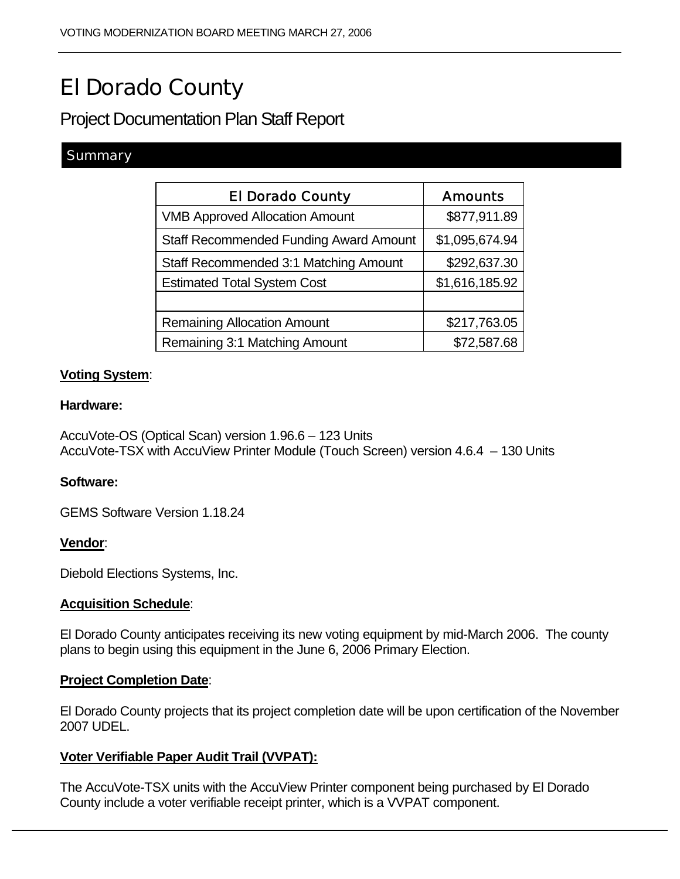# El Dorado County

Project Documentation Plan Staff Report

# **Summary**

| <b>El Dorado County</b>                       | <b>Amounts</b> |
|-----------------------------------------------|----------------|
| <b>VMB Approved Allocation Amount</b>         | \$877,911.89   |
| <b>Staff Recommended Funding Award Amount</b> | \$1,095,674.94 |
| Staff Recommended 3:1 Matching Amount         | \$292,637.30   |
| <b>Estimated Total System Cost</b>            | \$1,616,185.92 |
|                                               |                |
| <b>Remaining Allocation Amount</b>            | \$217,763.05   |
| Remaining 3:1 Matching Amount                 | \$72,587.68    |

# **Voting System**:

#### **Hardware:**

AccuVote-OS (Optical Scan) version 1.96.6 – 123 Units AccuVote-TSX with AccuView Printer Module (Touch Screen) version 4.6.4 – 130 Units

# **Software:**

GEMS Software Version 1.18.24

# **Vendor**:

Diebold Elections Systems, Inc.

# **Acquisition Schedule**:

El Dorado County anticipates receiving its new voting equipment by mid-March 2006. The county plans to begin using this equipment in the June 6, 2006 Primary Election.

#### **Project Completion Date**:

El Dorado County projects that its project completion date will be upon certification of the November 2007 UDEL.

# **Voter Verifiable Paper Audit Trail (VVPAT):**

The AccuVote-TSX units with the AccuView Printer component being purchased by El Dorado County include a voter verifiable receipt printer, which is a VVPAT component.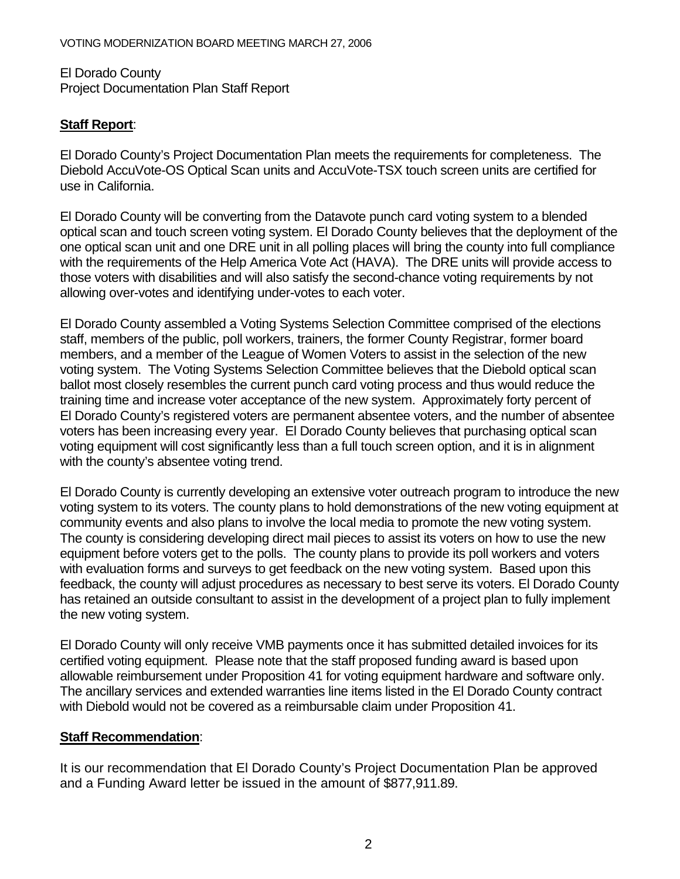El Dorado County Project Documentation Plan Staff Report

# **Staff Report**:

El Dorado County's Project Documentation Plan meets the requirements for completeness. The Diebold AccuVote-OS Optical Scan units and AccuVote-TSX touch screen units are certified for use in California.

El Dorado County will be converting from the Datavote punch card voting system to a blended optical scan and touch screen voting system. El Dorado County believes that the deployment of the one optical scan unit and one DRE unit in all polling places will bring the county into full compliance with the requirements of the Help America Vote Act (HAVA). The DRE units will provide access to those voters with disabilities and will also satisfy the second-chance voting requirements by not allowing over-votes and identifying under-votes to each voter.

El Dorado County assembled a Voting Systems Selection Committee comprised of the elections staff, members of the public, poll workers, trainers, the former County Registrar, former board members, and a member of the League of Women Voters to assist in the selection of the new voting system. The Voting Systems Selection Committee believes that the Diebold optical scan ballot most closely resembles the current punch card voting process and thus would reduce the training time and increase voter acceptance of the new system. Approximately forty percent of El Dorado County's registered voters are permanent absentee voters, and the number of absentee voters has been increasing every year. El Dorado County believes that purchasing optical scan voting equipment will cost significantly less than a full touch screen option, and it is in alignment with the county's absentee voting trend.

El Dorado County is currently developing an extensive voter outreach program to introduce the new voting system to its voters. The county plans to hold demonstrations of the new voting equipment at community events and also plans to involve the local media to promote the new voting system. The county is considering developing direct mail pieces to assist its voters on how to use the new equipment before voters get to the polls. The county plans to provide its poll workers and voters with evaluation forms and surveys to get feedback on the new voting system. Based upon this feedback, the county will adjust procedures as necessary to best serve its voters. El Dorado County has retained an outside consultant to assist in the development of a project plan to fully implement the new voting system.

El Dorado County will only receive VMB payments once it has submitted detailed invoices for its certified voting equipment. Please note that the staff proposed funding award is based upon allowable reimbursement under Proposition 41 for voting equipment hardware and software only. The ancillary services and extended warranties line items listed in the El Dorado County contract with Diebold would not be covered as a reimbursable claim under Proposition 41.

# **Staff Recommendation**:

It is our recommendation that El Dorado County's Project Documentation Plan be approved and a Funding Award letter be issued in the amount of \$877,911.89.